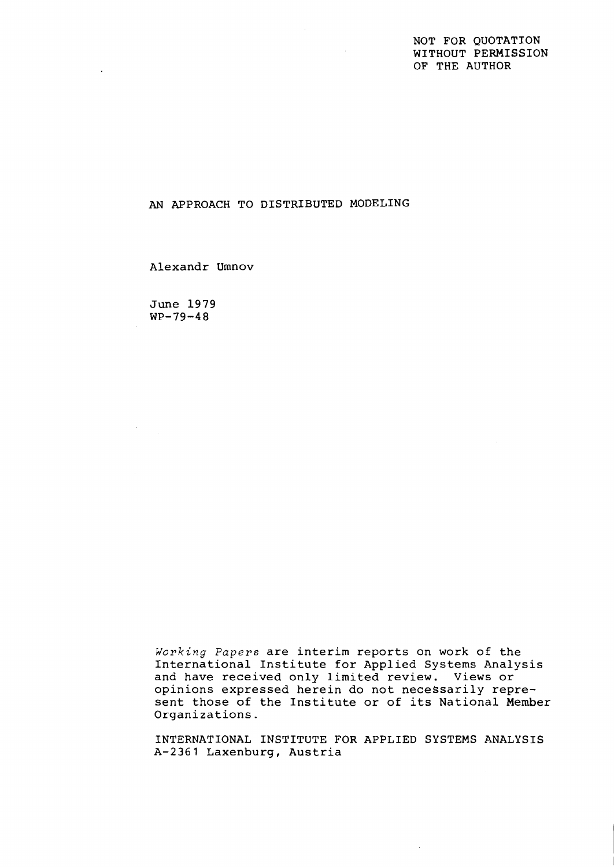NOT FOR QUOTATION WITHOUT PERMISSION OF THE AUTHOR

AN APPROACH TO DISTRIBUTED MODELING

Alexandr Umnov

June 1979 WP-79-48

 $\mathcal{A}^{\mathcal{A}}$ 

**Working** *Papers* are interim reports on work of the International Institute for Applied Systems Analysis and have received only limited review. Views or opinions expressed herein do not necessarily represent those of the Institute or of its National Member Organizations.

INTERNATIONAL INSTITUTE FOR APPLIED SYSTEMS ANALYSIS A-2361 Laxenburg, Austria

 $\mathcal{L}^{\mathcal{L}}$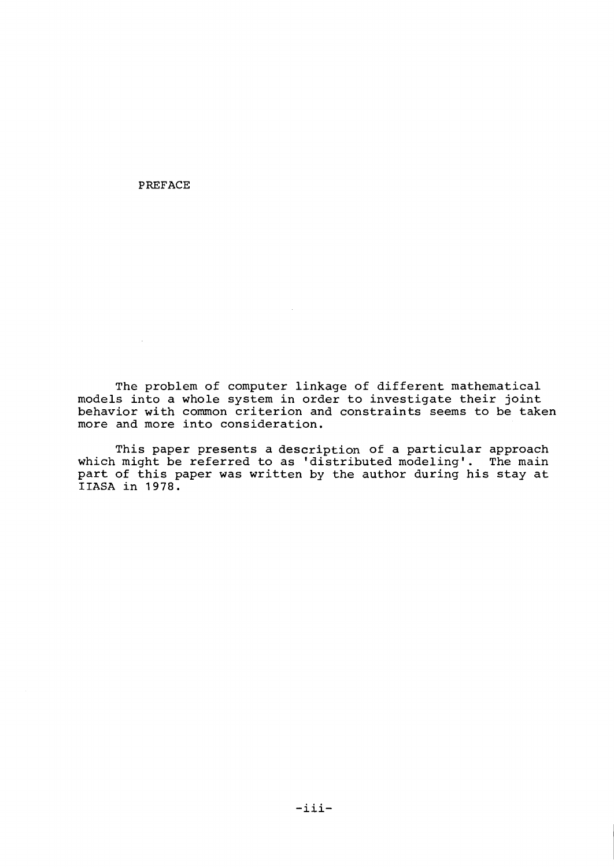PREFACE

 $\sim 10^{-1}$ 

The problem of computer linkage of different mathematical models into a whole system in order to investigate their joint behavior with common criterion and constraints seems to be taken more and more into consideration.

This paper presents a description of a particular approach which might be referred to as 'distributed modeling'. The main part of this paper was written by the author during his stay at **IIASA** in 1978.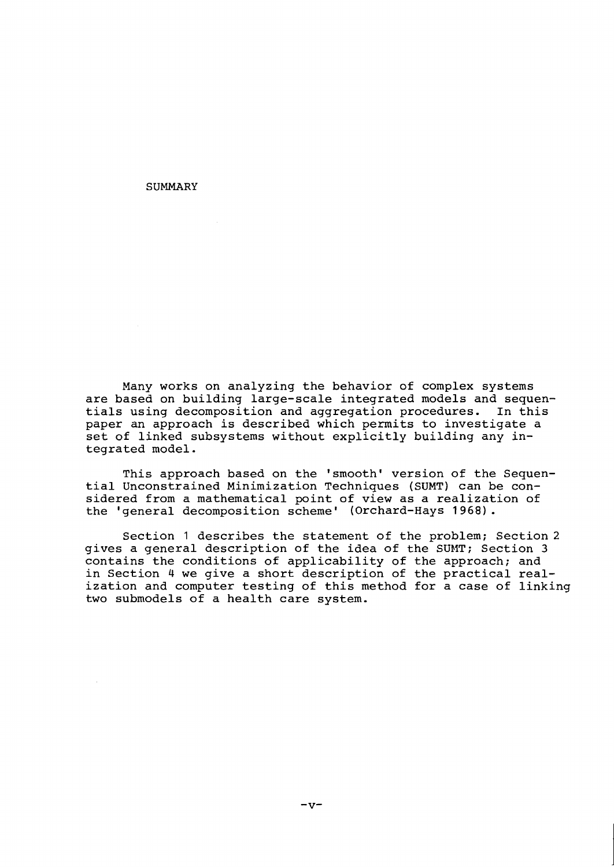**SUMMARY** 

Many works on analyzing the behavior of complex systems are based on building large-scale integrated models and sequen-<br>tials using decomposition and aggregation procedures. In this tials using decomposition and aggregation procedures. paper an approach is described which permits to investigate a set of linked subsystems without explicitly building any integrated model.

This approach based on the 'smooth' version of the Sequential Unconstrained Minimization Techniques (SUMT) can be considered from a mathematical point of view as a realization of the 'general decomposition scheme' (Orchard-Hays 1968).

Section 1 describes the statement of the problem; Section 2 gives a general description of the idea of the SUMT; Section 3 contains the conditions of applicability of the approach; and in Section 4 we give a short description of the practical realization and computer testing of this method for a case of linking two submodels of a health care system.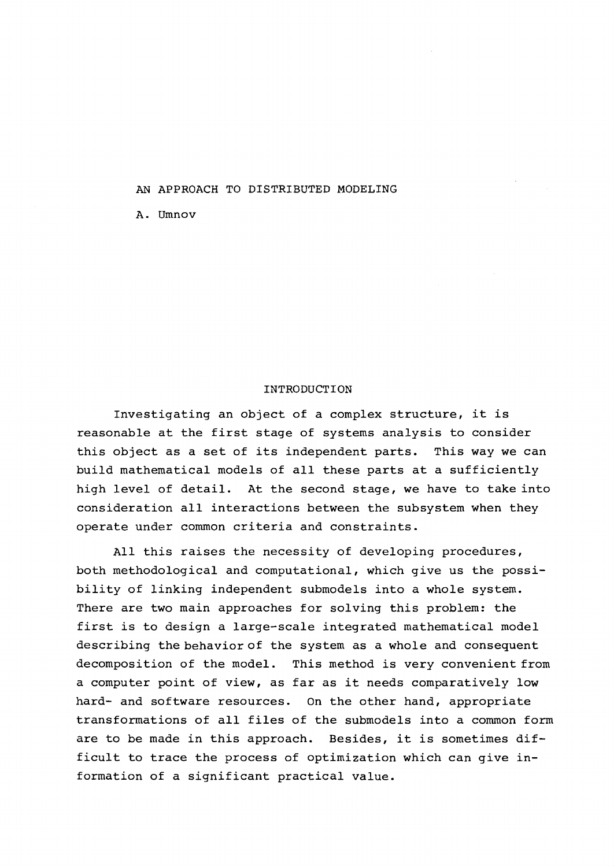#### AN APPROACH TO DISTRIBUTED MODELING

A. Umnov

#### INTRODUCTION

Investigating an object of a complex structure, it is reasonable at the first stage of systems analysis to consider this object as a set of its independent parts. This way we can build mathematical models of all these parts at a sufficiently high level of detail. At the second stage, we have to take into consideration all interactions between the subsystem when they operate under common criteria and constraints.

All this raises the necessity of developing procedures, both methodological and computational, which give us the possibility of linking independent submodels into a whole system. There are two main approaches for solving this problem: the first is to design a large-scale integrated mathematical model describing the behavior of the system as a whole and consequent decomposition of the model. This method is very convenient from a computer point of view, as far as it needs comparatively low hard- and software resources. On the other hand, appropriate transformations of all files of the submodels into a common form are to be made in this approach. Besides, it is sometimes difficult to trace the process of optimization which can give information of a significant practical value.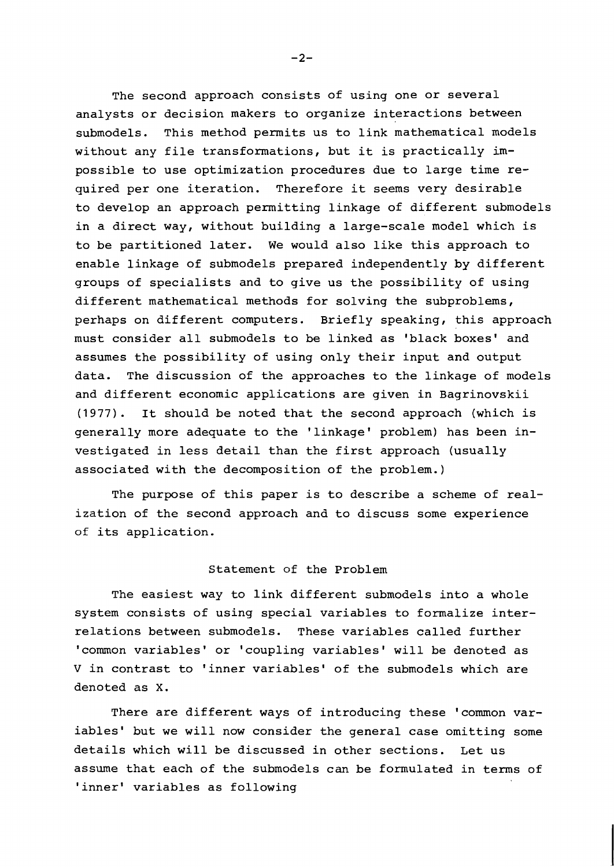The second approach consists of using one or several analysts or decision makers to organize interactions between submodels. This method permits us to link mathematical models without any file transformations, but it is practically impossible to use optimization procedures due to large time required per one iteration. Therefore it seems very desirable to develop an approach permitting linkage of different submodels in a direct way, without building a large-scale model which is to be partitioned later. We would also like this approach to enable linkage of submodels prepared independently by different groups of specialists and to give us the possibility of using different mathematical methods for solving the subproblems, perhaps on different computers. Briefly speaking, this approach must consider all submodels to be linked as 'black boxes' and assumes the possibility of using only their input and output data. The discussion of the approaches to the linkage of models and different economic applications are given in Bagrinovskii (1977). It should be noted that the second approach (which is generally more adequate to the 'linkage' problem) has been investigated in less detail than the first approach (usually associated with the decomposition of the problem.)

The purpose of this paper is to describe a scheme of realization of the second approach and to discuss some experience of its application.

### Statement of the Problem

The easiest way to link different submodels into a whole system consists of using special variables to formalize interrelations between submodels. These variables called further 'common variables' or 'coupling variables' will be denoted as V in contrast to 'inner variables' of the submodels which are denoted as X.

There are different ways of introducing these 'common variables' but we will now consider the general case omitting some details which will be discussed in other sections. Let us assume that each of the submodels can be formulated in terms of 'inner' variables as following

 $-2-$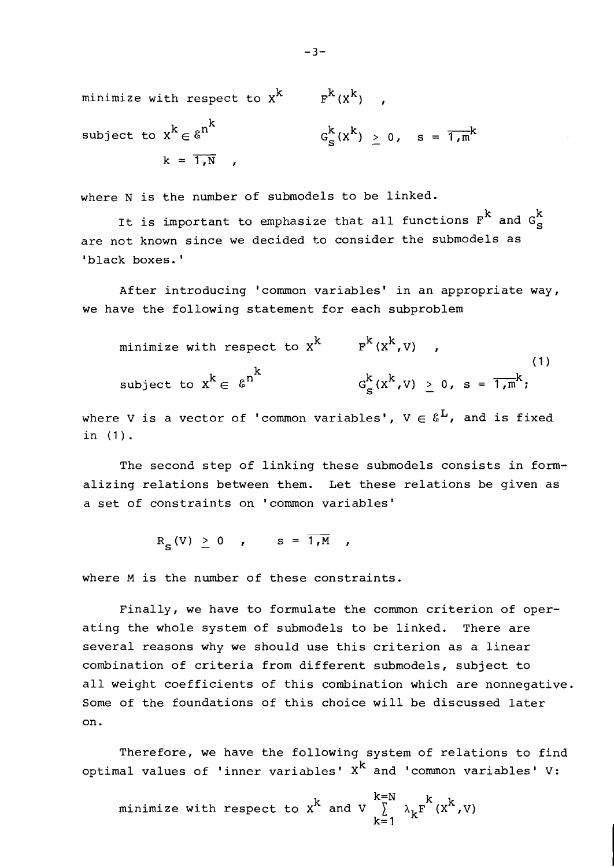minimize with respect to  $x^k$ <br>subject to  $x^k \in \mathcal{E}^{n^k}$ <br> $k = \overline{1, N}$ ,  $\textsf{subject to } \text{x}^k \in \mathcal{E}^{n^k}$  $G_c^k(x^k) > 0$ ,  $s = \overline{1,m}^k$  $k = \overline{1.N}$  ,

where N is the number of submodels to be linked.

It is important to emphasize that all functions  $\rm{F}^k$  and  $\rm{G}^k_S$ are not known since we decided to consider the submodels as 'black boxes.'

After introducing 'common variables' in an appropriate way, we have the following statement for each subproblem

minimize with respect to  $x^k$   $F^k(x^k, v)$  , k  $G_S^k(x^k, v) \geq 0$ , s =  $\frac{1}{1, m}$ ,  $G_S^k(x^k, v)$ subject to  $x^k \in \mathcal{E}^{n^k}$ 

where V is a vector of 'common variables',  $V \in \mathcal{E}^{L}$ , and is fixed in (1).

The second step of linking these submodels consists in formalizing relations between them. Let these relations be given as a set of constraints on 'common variables'

$$
R_{\rm c} (V) \geq 0 \quad , \qquad S = \overline{1, M} \quad ,
$$

where M is the number of these constraints.

Finally, we have to formulate the common criterion of operating the whole system of submodels to be linked. There are several reasons why we should use this criterion as a linear combination of criteria from different submodels, subject to all weight coefficients of this combination which are nonnegative. Some of the foundations of this choice will be discussed later on.

Therefore, we have the following system of relations to find optimal values of 'inner variables'  $X<sup>k</sup>$  and 'common variables' V:

 $k=N$  k minimize with respect to  $x^{k}$  and  $V \sum_{k=1}^{\infty} \lambda_{k} F^{k}(x^{k}, V)$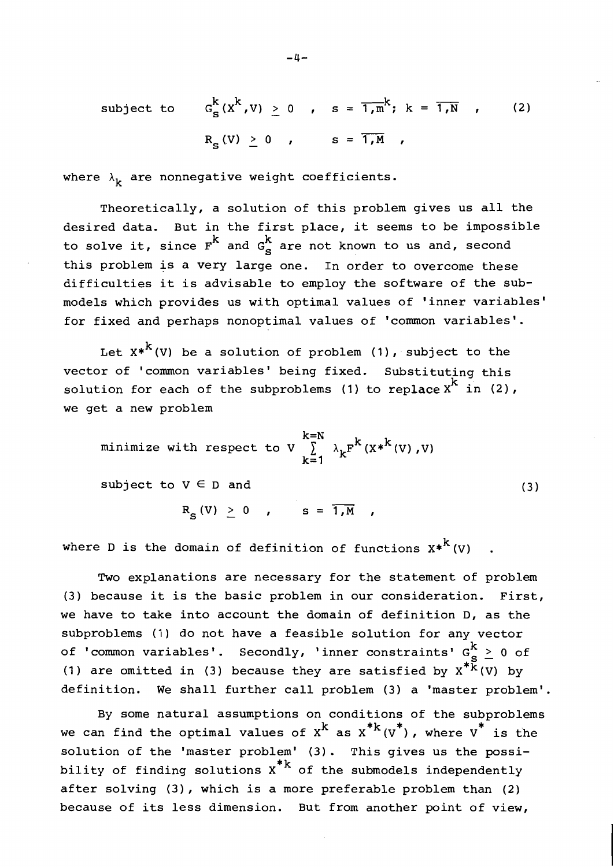subject to 
$$
G_S^k(x^k, v) \ge 0
$$
,  $s = \overline{1, m}^k$ ;  $k = \overline{1, N}$ , (2)  
 $R_c(v) > 0$ ,  $s = \overline{1, M}$ ,

where  $\lambda_k$  are nonnegative weight coefficients.

Theoretically, a solution of this problem gives us all the desired data. But in the first place, it seems to be impossible to solve it, since  $r^{k}$  and  $G_{s}^{k}$  are not known to us and, second this problem js a very large one. In order to overcome these difficulties it is advisable to employ the software of the submodels which provides us with optimal values of 'inner variables' for fixed and perhaps nonoptimal values of 'common variables'.

Let  $X^*$ <sup>k</sup> (V) be a solution of problem (1), subject to the vector of 'common variables' being fixed. Substituting this solution for each of the subproblems (1) to replace  $x^{k}$  in (2), we get a new problem

minimize with respect to V 
$$
\sum_{k=1}^{k=N} \lambda_k F^k(X^*^{k}(V), V)
$$

subject to  $V \in D$  and

 $R_{s} (V) \ge 0$  ,  $s = \overline{1, M}$  ,

where D is the domain of definition of functions  $x^{*k}$  (V)

Two explanations are necessary for the statement of problem (3) because it is the basic problem in our consideration. First, we have to take into account the domain of definition D, as the subproblems (1) do not have a feasible solution for any vector of 'common variables'. Secondly, 'inner constraints'  $G_c^k \geq 0$  of (1) are omitted in (3) because they are satisfied by  $x^{*K}(v)$  by definition. We shall further call problem (3) a 'master problem'.

By some natural assumptions on conditions of the subproblems \* we can find the optimal values of  $x^k$  as  $x^{*k}(v^*)$ , where  $v^*$  is the solution of the 'master problem' (3). This gives us the possibility of finding solutions  $x^*$ <sup>k</sup> of the submodels independently after solving (3), which is a more preferable problem than (2) because of its less dimension. But from another point of view,

 $(3)$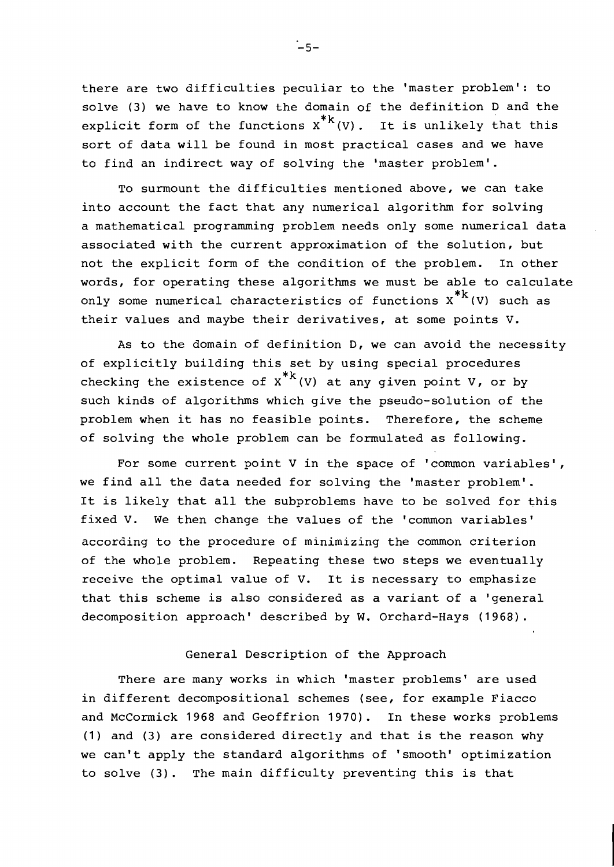there are two difficulties peculiar to the 'master problem': to solve (3) we have to know the domain of the definition D and the explicit form of the functions  $x^{*k}(v)$ . It is unlikely that this sort of data will be found in most practical cases and we have to find an indirect way of solving the 'master problem'.

To surmount the difficulties mentioned above, we can take into account the fact that any numerical algorithm for solving a mathematical programming problem needs only some numerical data associated with the current approximation of the solution, but not the explicit form of the condition of the problem. In other words, for operating these algorithms we must be able to calculate only some numerical characteristics of functions  $x^{*k}$  (V) such as their values and maybe their derivatives, at some points V.

As to the domain of definition D, we can avoid the necessity of explicitly building this set by using special procedures checking the existence of  $x^{*k}(V)$  at any given point V, or by such kinds of algorithms which give the pseudo-solution of the problem when it has no feasible points. Therefore, the scheme of solving the whole problem can be formulated as following.

For some current point V in the space of 'common variables', we find all the data needed for solving the 'master problem'. It is likely that all the subproblems have to be solved for this fixed V. We then change the values of the 'common variables' according to the procedure of minimizing the common criterion of the whole problem. Repeating these two steps we eventually receive the optimal value of V. It is necessary to emphasize that this scheme is also considered as a variant of a 'general decomposition approach' described by W. Orchard-Hays (1968).

### General Description of the Approach

There are many works in which 'master problems' are used in different decompositional schemes (see, for example Fiacco and McCormick 1968 and Geoffrion 1970). In these works problems (1) and (3) are considered directly and that is the reason why we can't apply the standard algorithms of 'smooth' optimization to solve (3). The main difficulty preventing this is that

.<br>—5—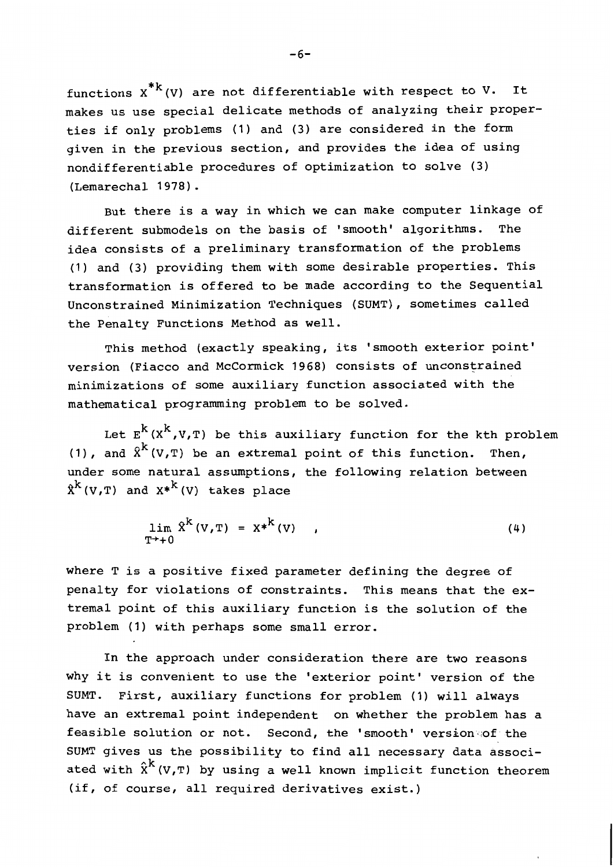functions  $x^{*k}(V)$  are not differentiable with respect to V. It makes us use special delicate methods of analyzing their properties if only problems (1) and (3) are considered in the form given in the previous section, and provides the idea of using nondifferentiable procedures of optimization to solve (3) (Lemarechal 1978) .

But there is a way in which we can make computer linkage of different submodels on the basis of 'smooth' algorithms. The idea consists of a preliminary transformation of the problems (1) and (3) providing them with some desirable properties. This transformation is offered to be made according to the Sequential Unconstrained Minimization Techniques (SUMT), sometimes called the Penalty Functions Method as well.

This method (exactly speaking, its 'smooth exterior point' version (Fiacco and McCormick 1968) consists of unconstrained minimizations of some auxiliary function associated with the mathematical programming problem to be solved.

Let  $E^{k}(X^{k}, V, T)$  be this auxiliary function for the kth problem (1), and  $\hat{x}^{k}(V,T)$  be an extremal point of this function. Then, under some natural assumptions, the following relation between  $\hat{x}^{k}(V,T)$  and  $x^{*k}(V)$  takes place

$$
\lim_{T^* \to 0} \hat{X}^k (V, T) = X^{*k} (V) , \qquad (4)
$$

where T is a positive fixed parameter defining the degree of penalty for violations of constraints. This means that the extremal point of this auxiliary function is the solution of the problem **(1)** with perhaps some small error.

In the approach under consideration there are two reasons why it is convenient to use the 'exterior point' version of the SUMT. First, auxiliary functions for problem (1) will always have an extremal point independent on whether the problem has a feasible solution or not. Second, the 'smooth' version of the SUMT gives us the possibility to find all necessary data associ ated with  $\hat{x}^k$  (V,T) by using a well known implicit function theorem (if, of course, all required derivatives exist.)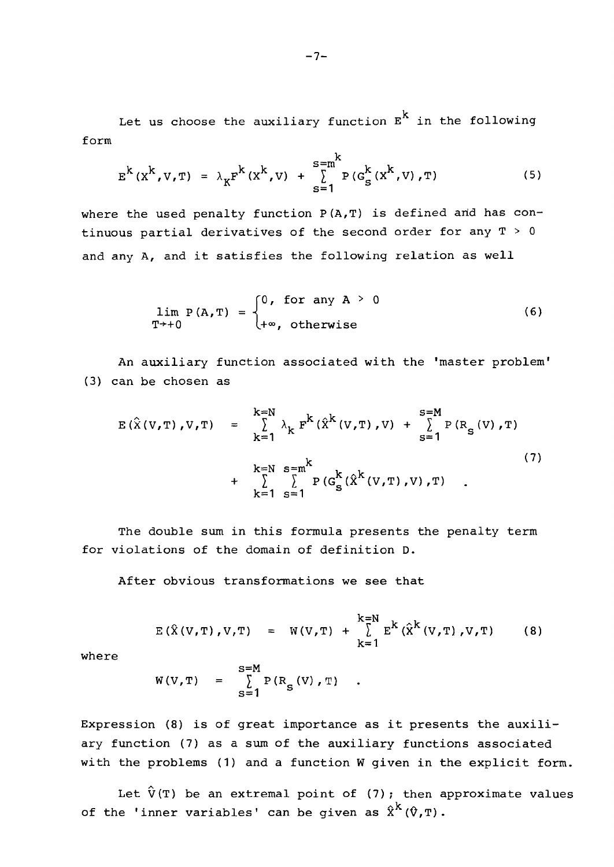Let us choose the auxiliary function  $E<sup>k</sup>$  in the following form

$$
E^{k}(x^{k},V,T) = \lambda_{K} F^{k}(x^{k},V) + \sum_{s=1}^{s=m^{k}} P(G_{s}^{k}(x^{k},V),T)
$$
 (5)

where the used penalty function  $P(A, T)$  is defined and has continuous partial derivatives of the second order for any  $T > 0$ and any A, and it satisfies the following relation as well

$$
\lim_{T \to +0} P(A,T) = \begin{cases} 0, & \text{for any } A > 0 \\ +\infty, & \text{otherwise} \end{cases}
$$
 (6)

An auxiliary function associated with the 'master problem' (3) can be chosen as

$$
E(\hat{X}(V,T), V,T) = \sum_{k=1}^{k=N} \lambda_k F^{k}(\hat{X}^{k}(V,T), V) + \sum_{s=1}^{s=M} P(R_{s}(V), T)
$$
  
+ 
$$
\sum_{k=1}^{k=N} \sum_{s=1}^{s=m^{k}} P(G_{s}^{k}(\hat{X}^{k}(V,T), V), T)
$$
 (7)

The double sum in this formula presents the penalty term for violations of the domain of definition D.

After obvious transformations we see that

$$
E(\hat{X}(V,T),V,T) = W(V,T) + \sum_{k=1}^{k=N} E^{k}(\hat{X}^{k}(V,T),V,T)
$$
 (8)

where

$$
W(V,T) = \sum_{S=1}^{S=M} P(R_S(V), T)
$$

Expression (8) is of great importance as it presents the auxiliary function (7) as a sum of the auxiliary functions associated with the problems (1) and a function W given in the explicit form.

Let  $\hat{V}(T)$  be an extremal point of (7); then approximate values of the 'inner variables' can be given as  $\hat{x}^{k}$  ( $\hat{v}$ , T).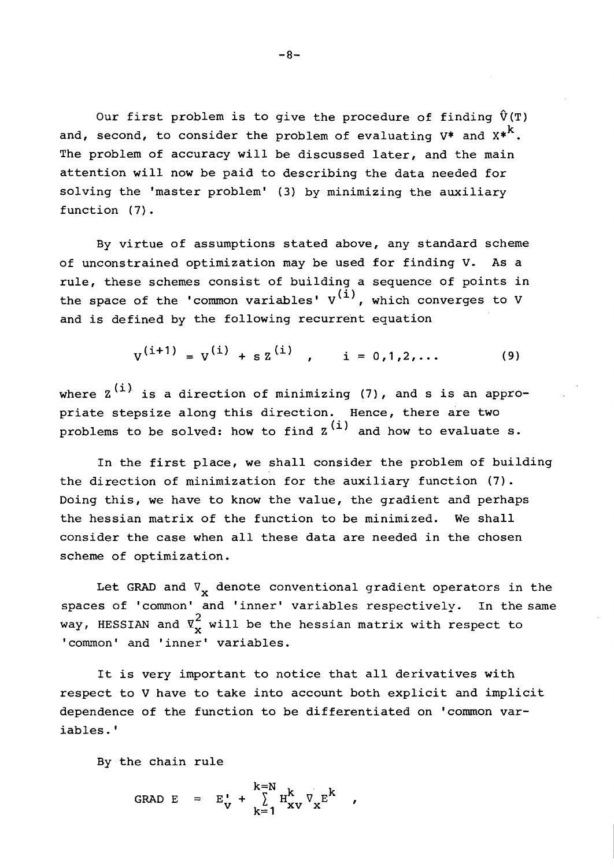Our first problem is to give the procedure of finding  $\hat{V}(T)$ and, second, to consider the problem of evaluating  $V^*$  and  $X^*$ . The problem of accuracy will be discussed later, and the main attention will now be paid to describing the data needed for solving the 'master problem' **(3)** by minimizing the auxiliary function (7).

By virtue of assumptions stated above, any standard scheme of unconstrained optimization may be used for finding V. As a rule, these schemes consist of building a sequence of points in the space of the 'common variables'  $V^{(1)}$ , which converges to V and is defined by the following recurrent equation

$$
V^{(i+1)} = V^{(i)} + s Z^{(i)}, \qquad i = 0, 1, 2, ... \qquad (9)
$$

where  $z^{(i)}$  is a direction of minimizing (7), and s is an appropriate stepsize along this direction. Hence, there are two problems to be solved: how to find  $z^{(i)}$  and how to evaluate s.

In the first place, we shall consider the problem of building the direction of minimization for the auxiliary function (7). Doing this, we have to know the value, the gradient and perhaps the hessian matrix of the function to be minimized. We shall consider the case when all these data are needed in the chosen scheme of optimization.

Let GRAD and  $\nabla_{\mathbf{x}}$  denote conventional gradient operators in the spaces of 'common' and 'inner' variables respectively. In the same way, HESSIAN and  $\bar{x}_{\bf v}^2$  will be the hessian matrix with respect to ' common' and 'inner' variables.

It is very important to notice that all derivatives with respect to V have to take into account both explicit and implicit dependence of the function to be differentiated on 'common variables. '

By the chain rule

GRAD E =  $E'_V$  +  $\sum_{k=1}^{k=N} H_{xV}^k \nabla_x E^k$  ,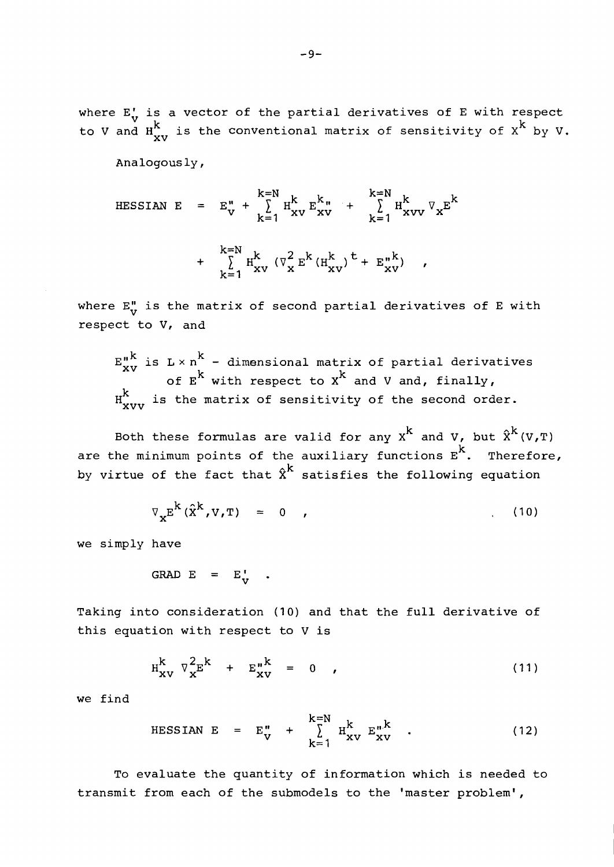where **E;** is a vector of the partial derivatives of E with respect to V and  $H^{k}_{xv}$  is the conventional matrix of sensitivity of  $x^{k}$  by V.

Analogously ,

$$
\begin{array}{rcl}\n\text{HESSIAN} & E & = & E_{V}^{n} + \sum_{k=1}^{k=N} H_{xV}^{k} E_{xV}^{k} + \sum_{k=1}^{k=N} H_{xVV}^{k} \nabla_{x} E^{k} \\
& & + \sum_{k=1}^{k=N} H_{xV}^{k} \left( \nabla_{x}^{2} E^{k} (H_{xV}^{k})^{t} + E_{xV}^{n} \right) \n\end{array}
$$

where  $E_v^n$  is the matrix of second partial derivatives of E with respect to V, and

 $E_{xy}^{n,k}$  is  $L \times n^{k}$  - dimensional matrix of partial derivatives of  $E^{\wedge}$  with respect to  $X^{\wedge}$  and V and, finally,  $H^{k}_{vvvv}$  is the matrix of sensitivity of the second order.

Both these formulas are valid for any  $x^{k}$  and V, but  $\hat{x}^{k}(v,r)$ are the minimum points of the auxiliary functions  $E^{k}$ . Therefore, by virtue of the fact that  $\hat{x}^k$  satisfies the following equation

$$
\nabla_{\mathbf{x}} \mathbf{E}^{\mathbf{K}} \left( \hat{\mathbf{x}}^{\mathbf{k}} , \mathbf{V}, \mathbf{T} \right) = 0 \quad , \tag{10}
$$

we simply have

$$
GRAD E = E_V' .
$$

Taking into consideration (10) and that the full derivative of this equation with respect to V is

$$
H_{\mathbf{X}\mathbf{V}}^{k} \nabla_{\mathbf{X}}^{2} E^{k} + E_{\mathbf{X}\mathbf{V}}^{\mathbf{n}k} = 0 , \qquad (11)
$$

we find

$$
HESSIAN E = E_V^n + \sum_{k=1}^{k=N} H_{XV}^k E_{XV}^{n,k}.
$$
 (12)

To evaluate the quantity of information which is needed to transmit from each of the submodels to the 'master problem',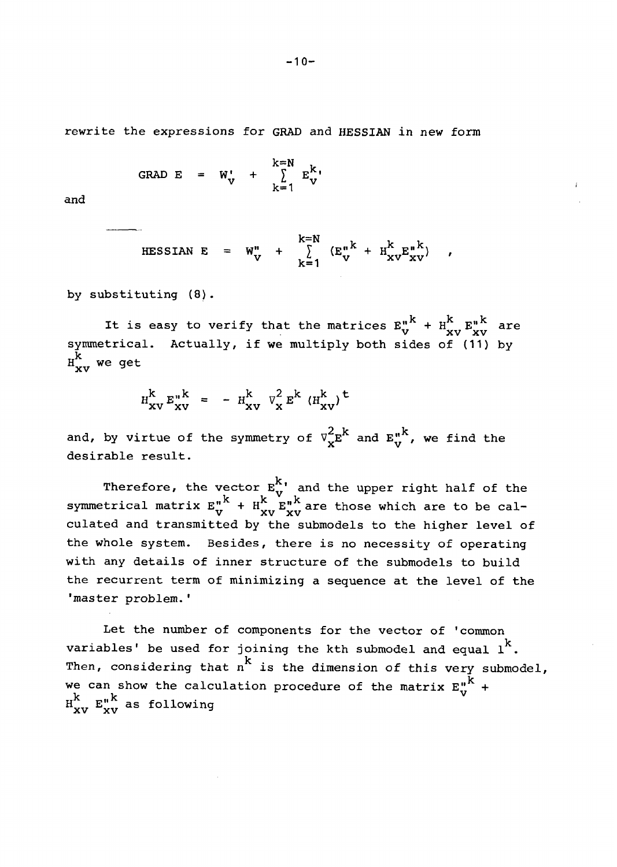rewrite the expressions for GRAD and HESSIAN in new form

$$
\text{GRAD} \quad E = W_V' + \sum_{k=1}^{k=N} E_V^{k}
$$

and

$$
\text{HESSIAN E} = W_V^n + \sum_{k=1}^{k=N} (E_V^{n,k} + H_{xV}^k E_{xV}^{n,k}) ,
$$

by substituting **(8)** .

It is easy to verify that the matrices  $E_V^{n^k} + H_{XV}^{k} E_{XV}^{n^k}$  are symmetrical. Actually, if we multiply both sides of (11) by  $H_{xy}^{k}$  we get

$$
H_{\mathbf{X}\mathbf{V}}^{\mathbf{k}} E_{\mathbf{X}\mathbf{V}}^{\mathbf{K}} = - H_{\mathbf{X}\mathbf{V}}^{\mathbf{k}} V_{\mathbf{X}}^2 E^{\mathbf{k}} (H_{\mathbf{X}\mathbf{V}}^{\mathbf{k}})^{\mathbf{t}}
$$

and, by virtue of the symmetry of  $\nabla_{\mathbf{x}}^{2} \mathbf{E}^{k}$  and  $\mathbf{E}_{\mathbf{v}}^{n,k}$ , we find the desirable result.

Therefore, the vector **E:'** and the upper right half of the symmetrical matrix  $E_V^{n^k} + H_{XV}^{k^v} E_{XV}^{n^k}$  are those which are to be calculated and transmitted by the submodels to the higher level of the whole system. Besides, there is no necessity of operating with any details of inner structure of the submodels to build the recurrent term of minimizing a sequence at the level of the 'master problem.'

Let the number of components for the vector of 'common variables' be used for joining the kth submodel and equal  $1<sup>k</sup>$ . Then, considering that  $n^k$  is the dimension of this very submodel, we can show the calculation procedure of the matrix  $E_v^{n^k}$  +  $\frac{1}{10}$   $\frac{k}{xv}$   $\frac{1}{xv}$  as following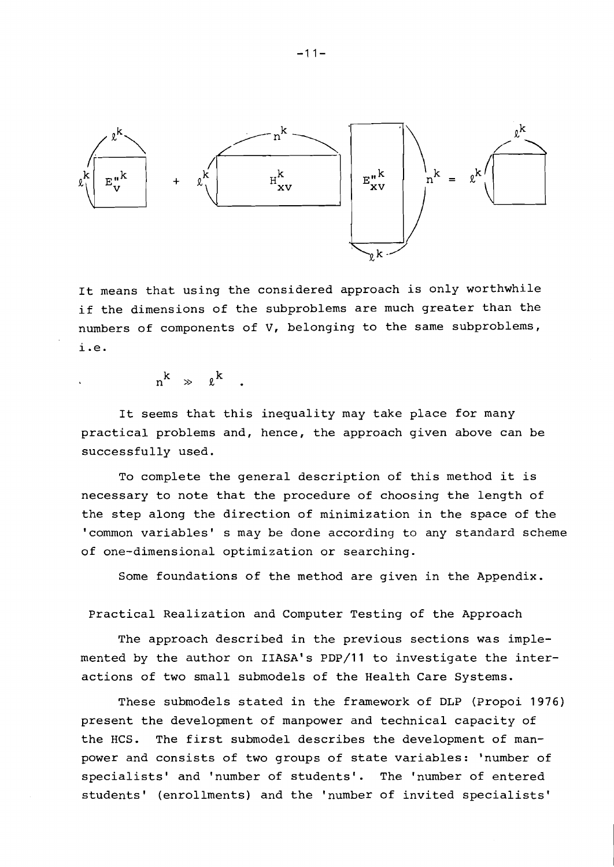

It means that using the considered approach is only worthwhile if the dimensions of the subproblems are much greater than the numbers of components of V, belonging to the same subproblems, i.e.

 $n^{k} \gg \ell^{k}$ .

It seems that this inequality may take place for many practical problems and, hence, the approach given above can be successfully used.

To complete the general description of this method it is necessary to note that the procedure of choosing the length of the step along the direction of minimization in the space of the 'common variables' s may be done according to any standard scheme of one-dimensional optimization or searching.

Some foundations of the method are given in the Appendix.

Practical Realization and Computer Testing of the Approach

The approach described in the previous sections was implemented by the author on IIASA's PDp/11 to investigate the interactions of two small submodels of the Health Care Systems.

These submodels stated in the framework of DLP (Propoi 1976) present the development of manpower and technical capacity of the HCS. The first submodel describes the development of manpower and consists of two groups of state variables: 'number of specialists' and 'number of students'. The 'number of entered students' (enrollments) and the 'number of invited specialists'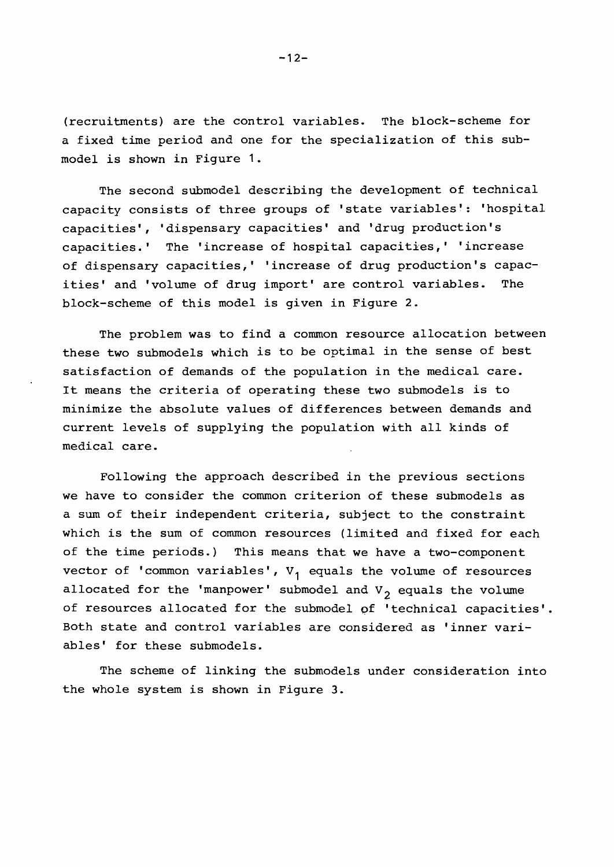(recruitments) are the control variables. The block-scheme for a fixed time period and one for the specialization of this submodel is shown in Figure 1.

The second submodel describing the development of technical capacity consists of three groups of 'state variables': 'hospital capacities', 'dispensary capacities' and 'drug production's capacities.' The 'increase of hospital capacities,' 'increase of dispensary capacities,' 'increase of drug production's capacities' and 'volume of drug import' are control variables. The block-scheme of this model is given in Figure 2.

The problem was to find a common resource allocation between these two submodels which is to be optimal in the sense of best satisfaction of demands of the population in the medical care. It means the criteria of operating these two submodels is to minimize the absolute values of differences between demands and current levels of supplying the population with all kinds of medical care.

Following the approach described in the previous sections we have to consider the common criterion of these submodels as a sum of their independent criteria, subject to the constraint which is the sum of common resources (limited and fixed for each of the time periods.) This means that we have a two-component vector of 'common variables', **V,** equals the volume of resources allocated for the 'manpower' submodel and  $V_2$  equals the volume of resources allocated for the submodel qf 'technical capacities'. Both state and control variables are considered as 'inner variables' for these submodels.

The scheme of linking the submodels under consideration into the whole system is shown in Figure 3.

 $-12-$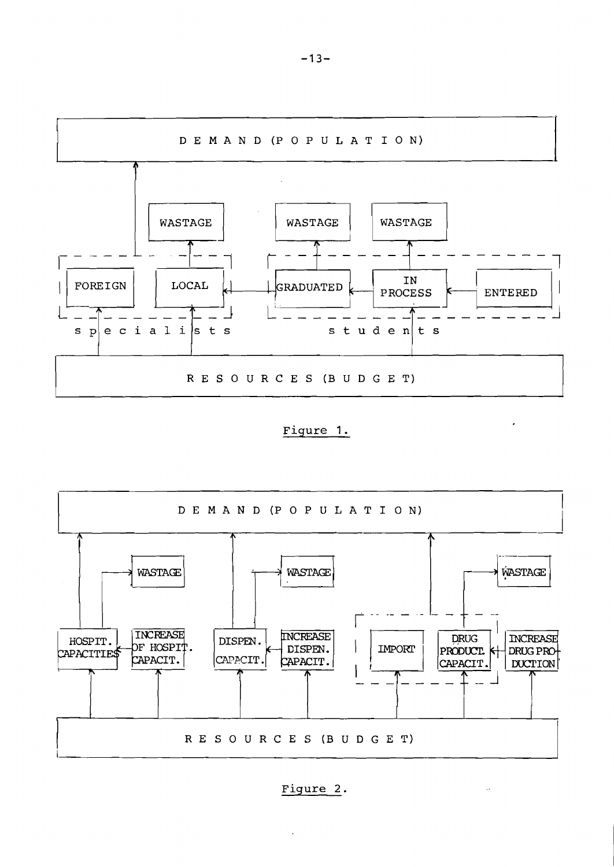

Figure 1.

 $\mathbf{z}$ 

 $\sim 12$ 



Figure 2.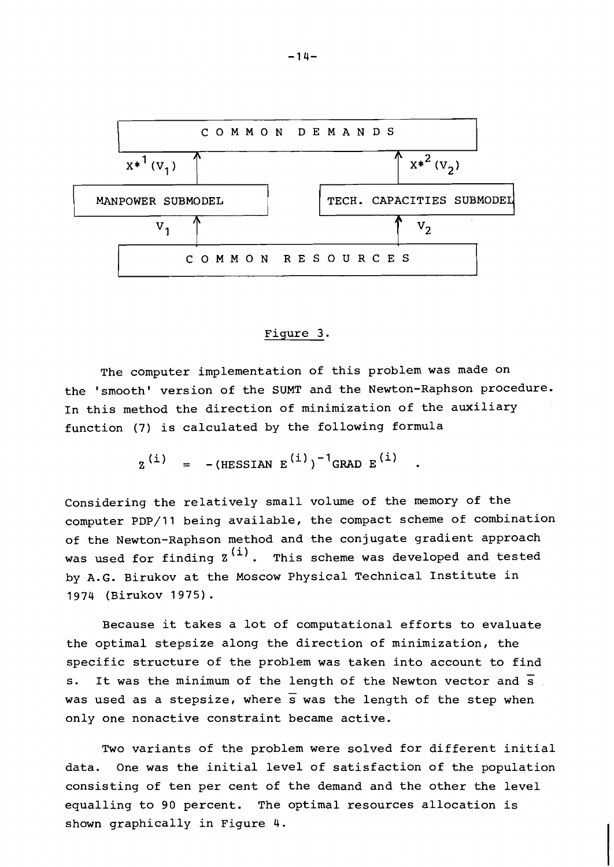

## Fiaure **3.**

The computer implementation of this problem was made on the 'smooth' version of the SUMT and the Newton-Raphson procedure. In this method the direction of minimization of the auxiliary function (7) is calculated by the following formula

$$
Z^{(i)} = -(\text{HESSIAN } E^{(i)})^{-1} \text{GRAD } E^{(i)}
$$

Considering the relatively small volume of the memory of the computer PDP/11 being available, the compact scheme of combination of the Newton-Raphson method and the conjugate gradient approach was used for finding  $z^{(i)}$ . This scheme was developed and tested by A.G. Birukov at the Moscow Physical Technical Institute in 1974 (Birukov 1975) .

Because it takes a lot of computational efforts to evaluate the optimal stepsize along the direction of minimization, the specific structure of the problem was taken into account to find s. It was the minimum of the length of the Newton vector and *s*  was used as a stepsize, where *s* was the length of the step when only one nonactive constraint became active.

Two variants of the problem were solved for different initial data. One was the initial level of satisfaction of the population consisting of ten per cent of the demand and the other the level equalling to 90 percent. The optimal resources allocation is shown graphically in Figure 4.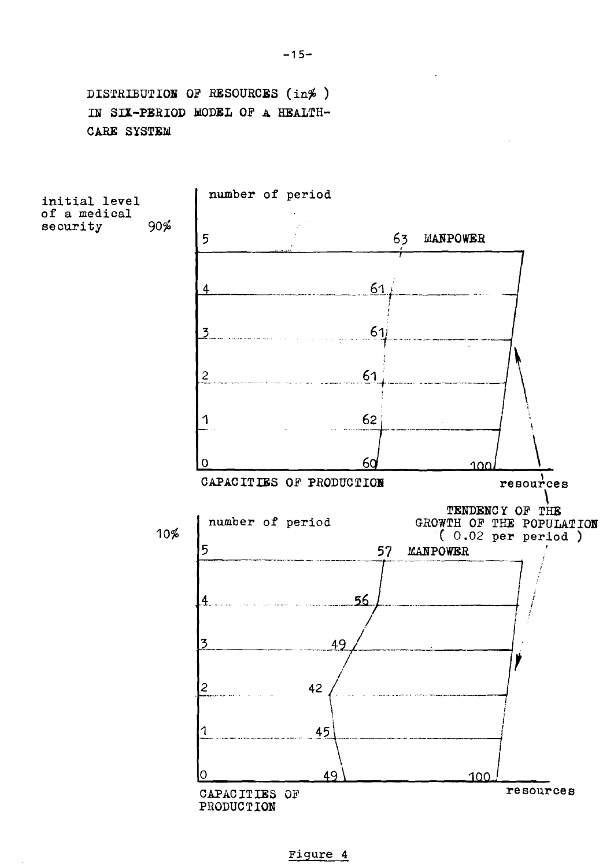DISTRIBUTION OF RESOURCES (in %) IN SIX-PERIOD MODEL OF A HEALTH-CARE SYSTEM



Figure 4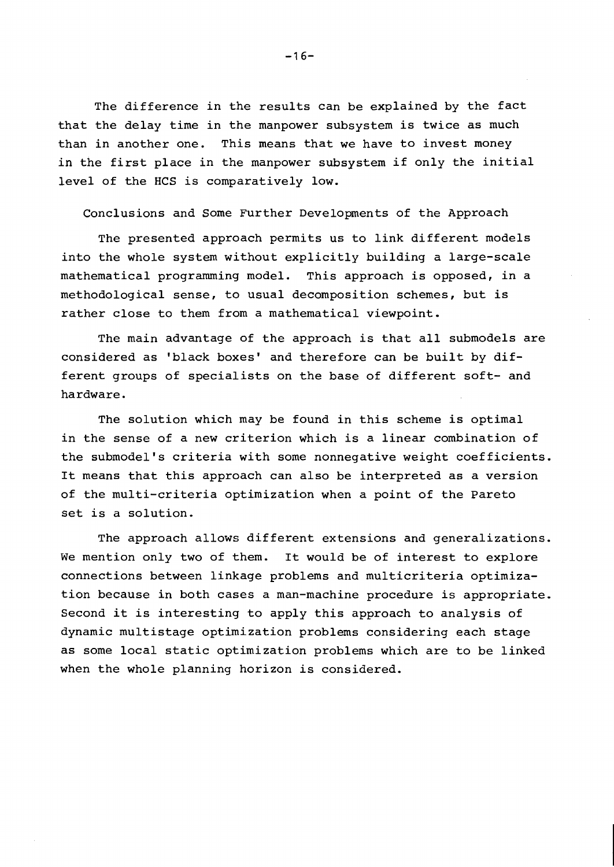The difference in the results can be explained by the fact that the delay time in the manpower subsystem is twice as much than in another one. This means that we have to invest money in the first place in the manpower subsystem if only the initial level of the HCS is comparatively low.

Conclusions and Some Further Developments of the Approach

The presented approach permits us to link different models into the whole system without explicitly building a large-scale mathematical programming model. This approach is opposed, in a methodological sense, to usual decomposition schemes, but is rather close to them from a mathematical viewpoint.

The main advantage of the approach is that all submodels are considered as 'black boxes' and therefore can be built by different groups of specialists on the base of different soft- and hardware.

The solution which may be found in this scheme is optimal in the sense of a new criterion which is a linear combination of the submodel's criteria with some nonnegative weight coefficients. It means that this approach can also be interpreted as a version of the multi-criteria optimization when a point of the Pareto set is a solution.

The approach allows different extensions and generalizations. We mention only two of them. It would be of interest to explore connections between linkage problems and multicriteria optimization because in both cases a man-machine procedure is appropriate. Second it is interesting to apply this approach to analysis of dynamic multistage optimization problems considering each stage as some local static optimization problems which are to be linked when the whole planning horizon is considered.

 $-16-$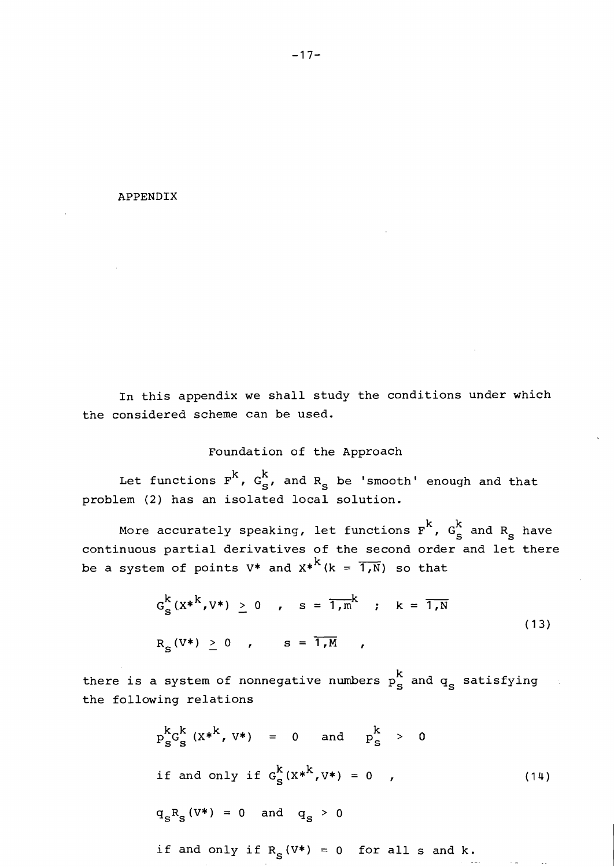#### APPENDIX

In this appendix we shall study the conditions under which the considered scheme can be used.

# Foundation of the Approach

Let functions  $F^{k}$ ,  $G_{s}^{k}$ , and  $R_{s}$  be 'smooth' enough and that problem (2) has an isolated local solution.

More accurately speaking, let functions  $\rm{F}^k$ ,  $\rm{G}^k_S$  and  $\rm{R}^s_S$  have continuous partial derivatives of the second order and let there al solution.<br>let functions<br>of the second<br> $k$ <sub>(k =</sub>  $\overline{1,N}$ ) so be a system of points V\* and  $x^{*k}$  (k =  $\overline{1,N}$ ) so that

$$
G_S^k(x^{*k}, V^*) \ge 0
$$
,  $s = \overline{1, m}^k$ ;  $k = \overline{1, N}$   
 $R_S(V^*) \ge 0$ ,  $s = \overline{1, M}$ , (13)

there is a system of nonnegative numbers  $p_s^k$  and  $q_s$  satisfying the following relations

$$
p_S^k G_S^k (X^{*k}, V^*) = 0
$$
 and  $p_S^k > 0$   
if and only if  $G_S^k (X^{*k}, V^*) = 0$ , (14)

$$
q_{S}R_{S} (V^*) = 0 \quad \text{and} \quad q_{S} > 0
$$

if and only if 
$$
R_s(V^*) = 0
$$
 for all s and k.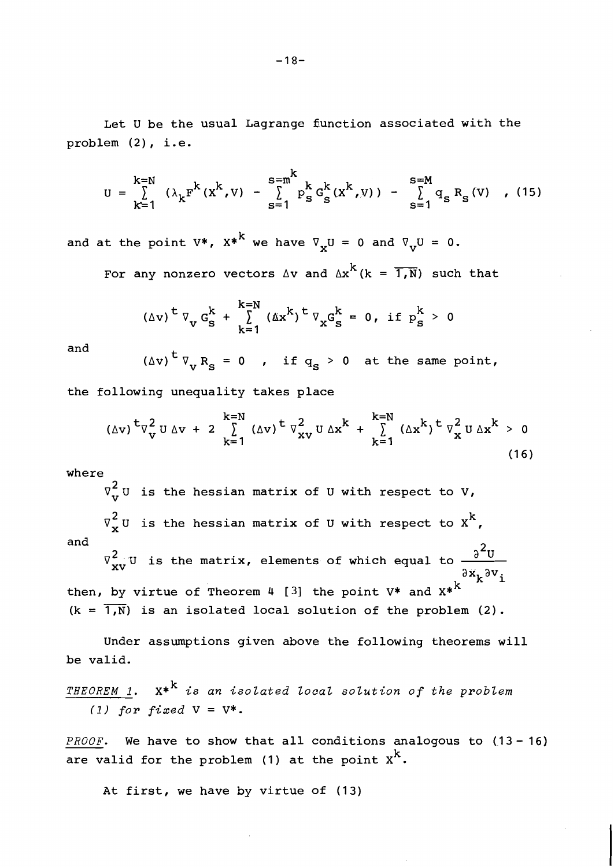Let U be the usual Lagrange 5unction associated with the problem (2), i.e.

$$
U = \sum_{k=1}^{k=N} (\lambda_k F^{k}(x^{k}, v) - \sum_{s=1}^{s=m^{k}} p_{s}^{k} G_{s}^{k}(x^{k}, v)) - \sum_{s=1}^{s=M} q_{s} R_{s}(v) , (15)
$$

and at the point V\*,  $X^{*^k}$  we have  $\nabla_{\mathbf{x}}U = 0$  and  $\nabla_{\mathbf{v}}U = 0$ .  $s=1$ <br>0 and  $\nabla_{V}U =$ <br> $k(k = 1, N)$  su

For any nonzero vectors  $\Delta v$  and  $\Delta x^{k}$  (k =  $\overline{1,N}$ ) such that

$$
(\Delta v)^{t} \nabla_{v} G_{s}^{k} + \sum_{k=1}^{k=N} (\Delta x^{k})^{t} \nabla_{x} G_{s}^{k} = 0, \text{ if } p_{s}^{k} > 0
$$

and  $(\Delta v)^{\frac{t}{k}} V_{vR_{s}} = 0$ , if  $q_{s} > 0$  at the same point,

the following unequality takes place

$$
(\Delta v)^{t} \nabla_{v}^{2} U \Delta v + 2 \sum_{k=1}^{k=N} (\Delta v)^{t} \nabla_{xv}^{2} U \Delta x^{k} + \sum_{k=1}^{k=N} (\Delta x^{k})^{t} \nabla_{x}^{2} U \Delta x^{k} > 0
$$
\n(16)

where

 $\nabla_{\mathbf{v}}^2$ U is the hessian matrix of U with respect to V,  $\triangledown^2_\mathbf{x}$ U is the hessian matrix of U with respect to  $\mathrm{x}^\mathbf{k}$ , and  $\nabla^2_{{\bf x}{\bf v}}$  U is the matrix, elements of which equal to  $\frac{{\partial}^2 {\bf U}}{2}$ ax<sub>k</sub>av<sub>i</sub> then, by virtue of Theorem 4  $[3]$  the point V\* and X\*<sup>k</sup> V<sub>xv</sub>U i<br>by vir<br>1,N) is  $(k = \overline{1, N})$  is an isolated local solution of the problem (2).

Under assumptions given above the following theorems will be valid.

THEOREM 1.  $X^*$ <sup>k</sup> is an isolated local solution of the problem (1) for fixed  $V = V^*$ .

*PROOF.* We have to show that all conditions analogous to  $(13-16)$ are valid for the problem (1) at the point  $x^k$ .

At first, we have by virtue of (13)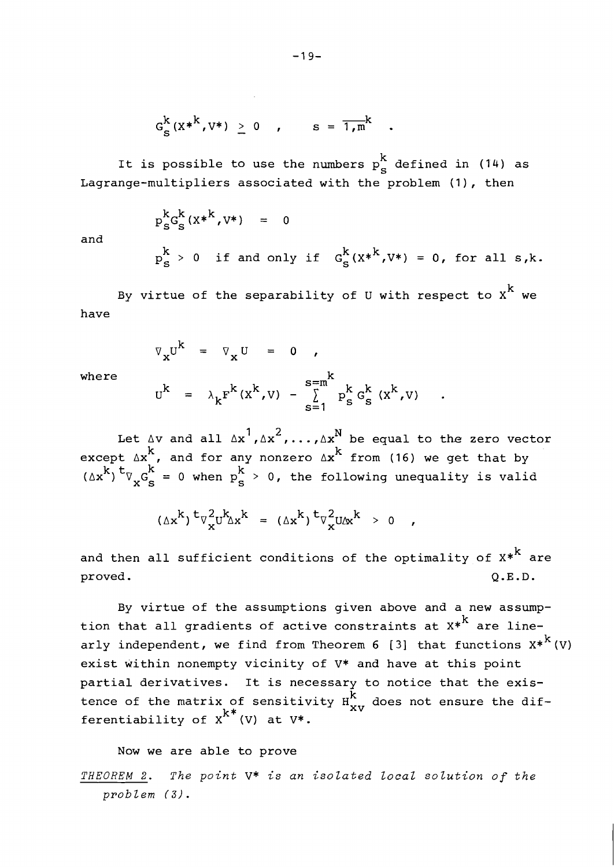$$
G_S^k(x^{*k}, v^*) \ge 0
$$
,  $s = \overline{1,m}^k$ 

It is possible to use the numbers  $p_S^k$  defined in (14) as Lagrange-multipliers associated with the problem (I), then

$$
p_S^k G_S^k(X^{*k}, V^*) = 0
$$
  

$$
p_S^k > 0 \text{ if and only if } G_S^k(X^{*k}, V^*) = 0, \text{ for all } s, k.
$$

By virtue of the separability of U with respect to  $x^k$  we have

$$
\nabla_{\mathbf{x}} \mathbf{U}^{\mathbf{k}} = \nabla_{\mathbf{x}} \mathbf{U} = 0 ,
$$

and

where  

$$
U^{k} = \lambda_{k} F^{k}(X^{k}, V) - \sum_{s=1}^{s=m^{k}} p_{s}^{k} G_{s}^{k}(X^{k}, V)
$$

Let  $\Delta v$  and all  $\Delta x^1$ ,  $\Delta x^2$ ,...,  $\Delta x^N$  be equal to the zero vector except  $\Delta x$ , and for any nonzero  $\Delta x^k$  from (16) we get that by  $(x^k)$ <sup>t</sup> $\nabla_x G_s^k = 0$  when  $p_s^k > 0$ , the following unequality is valid

$$
(\Delta x^k)^t \nabla_x^2 u^k \Delta x^k = (\Delta x^k)^t \nabla_x^2 u \Delta x^k > 0 ,
$$

and then all sufficient conditions of the optimality of  $x*^k$  are proved. **Q.E.D.** 

By virtue of the assumptions given above and a new assumption that all gradients of active constraints at  $x^{*k}$  are linearly independent, we find from Theorem 6 [3] that functions  $X^{*K}(V)$ exist within nonempty vicinity of V\* and have at this point partial derivatives. It is necessary to notice that the existence of the matrix of sensitivity  $\tilde{H}_{\bf xv}^{\hat{\bf k}}$  does not ensure the differentiability of  $x^{K^*}(V)$  at  $V^*$ .

Now we are able to prove

*THEOREM 2. The point* V\* *is an isolated local sozution of the problem* **(3).**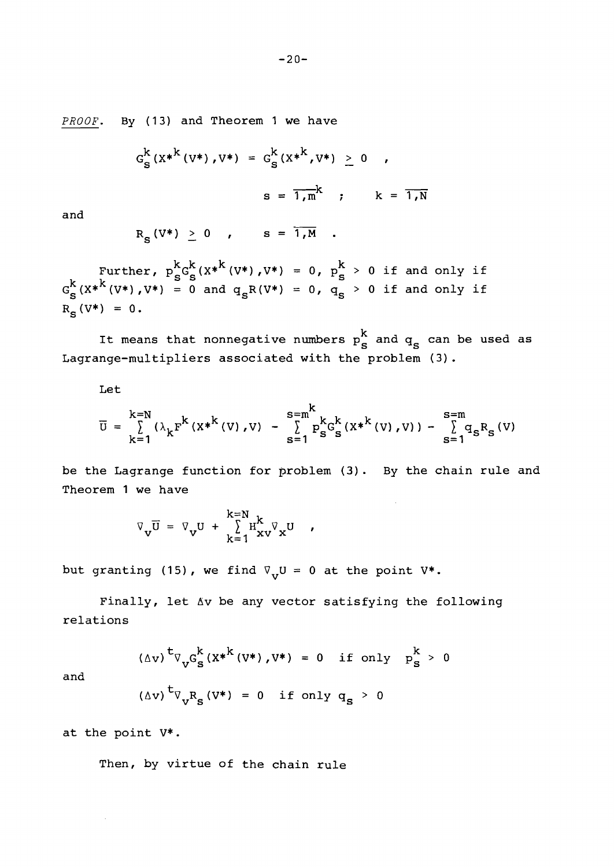PROOF. By (13) and Theorem 1 we have

$$
G_S^k (X^{*k} (V^*), V^*) = G_S^k (X^{*k}, V^*) \ge 0
$$
,  

$$
s = \overline{1, m}^k; \qquad k = \overline{1, N}
$$

and

$$
R_S(V^*) \geq 0 \quad , \qquad S = \overline{1, M} \quad .
$$

Further,  $p_e^{k} G_e^{k}(X^{*k}(V^*), V^*) = 0$ ,  $p_e^{k} > 0$  if and only if  $G_{\bf g}^k$ (X\*<sup>k</sup>(V\*),V\*) = 0 and  $q_{\bf g}R(V^*)$  = 0,  $q_{\bf g} > 0$  if and only if  $R_c(V^*) = 0.$ 

It means that nonnegative numbers  $p^k_{\bf s}$  and  $q_{\bf s}$  can be used as Lagrange-multipliers associated with the problem (3).

Let

$$
\overline{U} = \sum_{k=1}^{k=N} (\lambda_k F^{k} (X^{*k}(V), V) - \sum_{s=1}^{s=m} P_{s}^{k} G_{s}^{k} (X^{*k}(V), V)) - \sum_{s=1}^{s=m} q_{s} R_{s}(V)
$$

be the Lagrange function for problem (3). By the chain rule and Theorem 1 we have

$$
\nabla_{\mathbf{v}} \overline{\mathbf{U}} = \nabla_{\mathbf{v}} \mathbf{U} + \sum_{k=1}^{k=N} \mathbf{H}_{\mathbf{x}\mathbf{v}}^{k} \nabla_{\mathbf{x}} \mathbf{U} ,
$$

but granting (15), we find  $\nabla_{\mathbf{v}}U = 0$  at the point  $V^*$ .

Finally, let dv be any vector satisfying the following relations

 $(\Delta v)^{\frac{t}{v}} \nabla_{v} G_{S}^{k} (x^{*k}(v^{*}), v^{*}) = 0$  if only  $p_{S}^{k} > 0$ 

and

$$
(\Delta v) \, {}^{\mathbf{t}} \nabla_{\mathbf{v}} \mathbf{R}_{\mathbf{S}} \, (\mathbf{V}^*) = 0 \quad \text{if only } \mathbf{q}_{\mathbf{S}} > 0
$$

at the point V\*.

Then, by virtue of the chain rule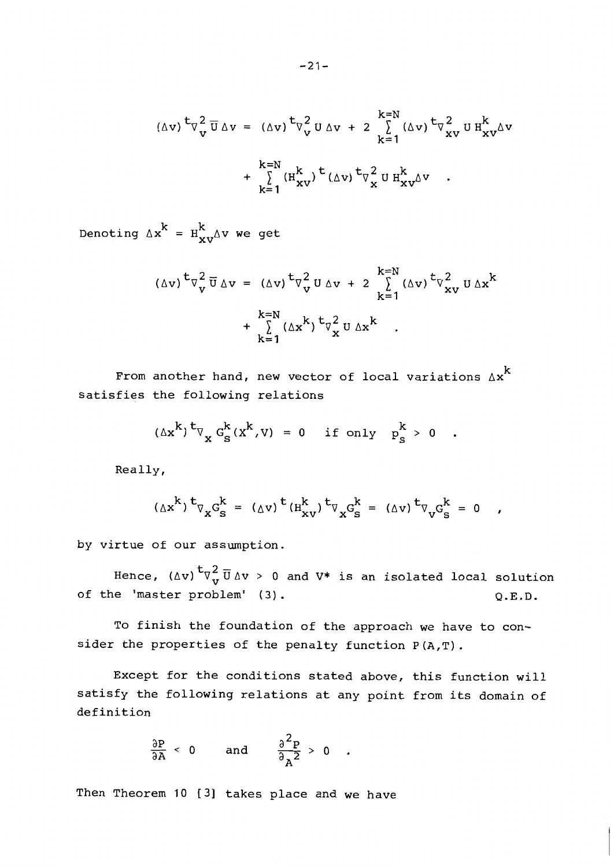$$
(\Delta v)^{t} \nabla_{v}^{2} \overline{U} \Delta v = (\Delta v)^{t} \nabla_{v}^{2} U \Delta v + 2 \sum_{k=1}^{k=N} (\Delta v)^{t} \nabla_{xV}^{2} U H_{xV}^{k} \Delta v
$$
  
+ 
$$
\sum_{k=1}^{k=N} (H_{xV}^{k})^{t} (\Delta v)^{t} \nabla_{x}^{2} U H_{xV}^{k} \Delta v .
$$

Denoting  $\Delta x^{k} = H_{xy}^{k} \Delta v$  we get

$$
(\Delta v)^{t} \nabla_{v}^{2} \overline{U} \Delta v = (\Delta v)^{t} \nabla_{v}^{2} U \Delta v + 2 \sum_{k=1}^{k=N} (\Delta v)^{t} \nabla_{xV}^{2} U \Delta x^{k} + \sum_{k=1}^{k=N} (\Delta x^{k})^{t} \nabla_{x}^{2} U \Delta x^{k} .
$$

From another hand, new vector of local variations  $\Delta x^k$ satisfies the following relations

$$
(\Delta x^{k})^{t} \nabla_{x} G_{s}^{k}(x^{k}, v) = 0 \quad \text{if only} \quad p_{s}^{k} > 0
$$

Really,

$$
(\Delta x^{k})^{t} \nabla_{x} G_{s}^{k} = (\Delta v)^{t} (H_{xv}^{k})^{t} \nabla_{x} G_{s}^{k} = (\Delta v)^{t} \nabla_{v} G_{s}^{k} = 0 ,
$$

by virtue of our assumption.

Hence,  $(\Delta v)$ <sup>t</sup> $\nabla^2_{\mathbf{v}}\overline{U}\Delta v$  > 0 and V\* is an isolated local solution of the 'master problem' (3).  $Q.E.D.$ 

To finish the foundation of the approach we have to consider the properties of the penalty function P(A,T).

Except for the conditions stated above, this function will satisfy the following relations at any point from its domain of definition

$$
\frac{\partial P}{\partial A} < 0 \quad \text{and} \quad \frac{\partial^2 P}{\partial A^2} > 0 \quad .
$$

Then Theorem 10 [3] takes place and we have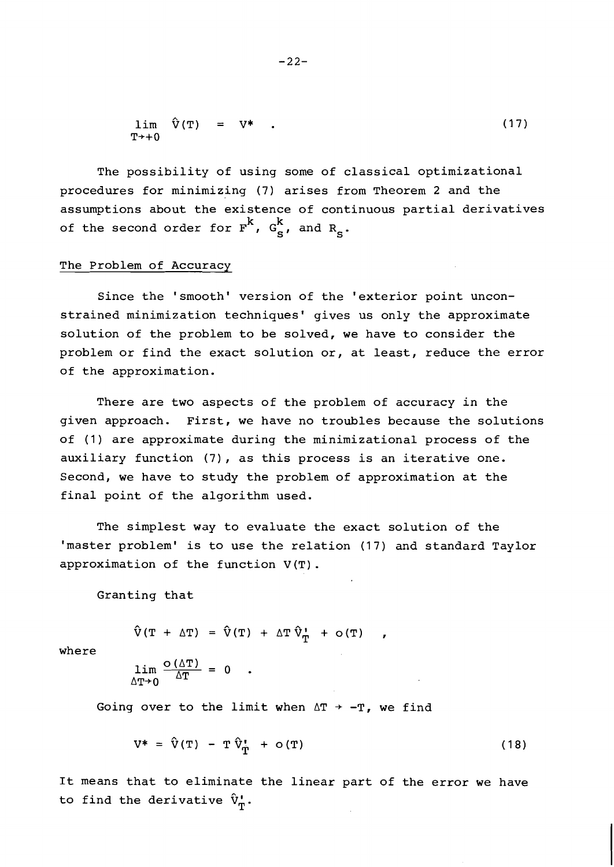$$
\lim_{T^* \to 0} \hat{V}(T) = V^* . \qquad (17)
$$

The possibility of using some of classical optimizational procedures for minimizing (7) arises from Theorem 2 and the assumptions about the existence of continuous partial derivatives of the second order for  $F^k$ ,  $G^k_s$ , and  $R_c$ .

# The Problem of Accuracy

Since the 'smooth' version of the 'exterior point unconstrained minimization techniques' gives us only the approximate solution of the problem to be solved, we have to consider the problem or find the exact solution or, at least, reduce the error of the approximation.

There are two aspects of the problem of accuracy in the given approach. First, we have no troubles because the solutions of (1) are approximate during the minimizational process of the auxiliary function (7), as this process is an iterative one. Second, we have to study the problem of approximation at the final point of the algorithm used.

The simplest way to evaluate the exact solution of the 'master problem' is to use the relation (17) and standard Taylor approximation of the function  $V(T)$ .

Granting that

 $\hat{V}(T + \Delta T) = \hat{V}(T) + \Delta T \hat{V}_{T} + O(T)$ 

where

$$
\lim_{\Delta T \to 0} \frac{\circ (\Delta T)}{\Delta T} = 0
$$

Going over to the limit when  $\Delta T$  + -T, we find

$$
V^* = \hat{V}(T) - T \hat{V}^{\dagger}_{T} + o(T) \qquad (18)
$$

It means that to eliminate the linear part of the error we have to find the derivative  $\hat{V}_{m}^{I}$ .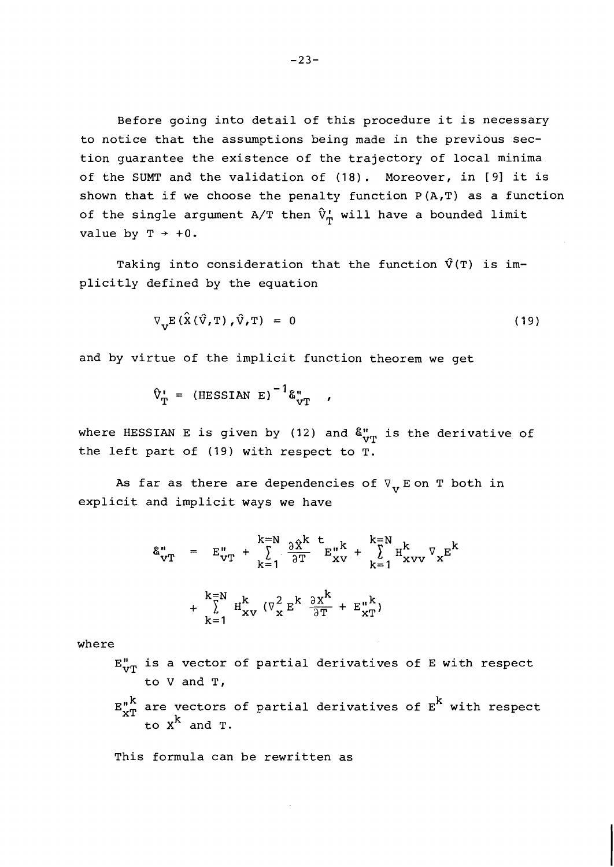Before going into detail of this procedure it is necessary to notice that the assumptions being made in the previous section guarantee the existence of the trajectory of local minima of the SUMT and the validation of (18). Moreover, in [9] it is shown that if we choose the penalty function  $P(A,T)$  as a function of the single argument A/T then  $\hat{v}_{T}^{\dagger}$  will have a bounded limit value by  $T \rightarrow +0$ .

Taking into consideration that the function  $\hat{V}(T)$  is implicitly defined by the equation

$$
\nabla_{\mathbf{V}} \mathbf{E} \left( \hat{\mathbf{X}} \left( \hat{\mathbf{V}}, \mathbf{T} \right), \hat{\mathbf{V}} \right) = 0 \tag{19}
$$

and by virtue of the implicit function theorem we get

$$
\hat{V}_{T} = (HESSIAN E)^{-1}\hat{\epsilon}_{VT}^{n},
$$

where HESSIAN E is given by (12) and  $\delta_{vr}^n$  is the derivative of the left part of (19) with respect to T.

As far as there are dependencies of  $\nabla_{\mathbf{v}}$  E on T both in explicit and implicit ways we have

$$
\mathbf{\&}_{\mathbf{v}\mathbf{T}}^{n} = \mathbf{E}_{\mathbf{v}\mathbf{T}}^{n} + \sum_{k=1}^{k=N} \frac{\partial \hat{\mathbf{x}}^{k}}{\partial \mathbf{T}} \mathbf{E}_{\mathbf{x}\mathbf{v}}^{n} + \sum_{k=1}^{k=N} \mathbf{H}_{\mathbf{x}\mathbf{v}\mathbf{v}}^{k} \nabla_{\mathbf{x}} \mathbf{E}^{k}
$$
\n
$$
+ \sum_{k=1}^{k=N} \mathbf{H}_{\mathbf{x}\mathbf{v}}^{k} \left( \nabla_{\mathbf{x}}^{2} \mathbf{E}^{k} \frac{\partial \mathbf{x}^{k}}{\partial \mathbf{T}} + \mathbf{E}_{\mathbf{x}\mathbf{T}}^{n} \right)
$$

where

- $E_{VT}''$  is a vector of partial derivatives of E with respect to V and T,
- $\int_{\mathbf{x}}^{\mathbf{u}} \mathbf{x}^{\mathbf{n}}$  are vectors of partial derivatives of  $\mathbf{E}^{\mathbf{A}}$  with respect to **xn** and T.

This formula can be rewritten as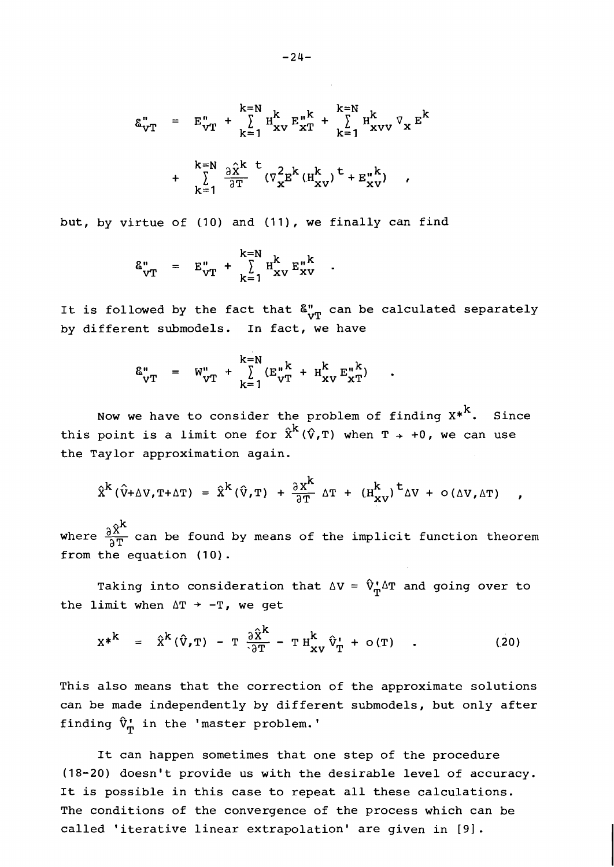$$
\begin{array}{rcl}\n\mathbf{g}_{\mathbf{v}T}^{n} &=& \mathbf{E}_{\mathbf{v}T}^{n} + \sum\limits_{k=1}^{k=N} \mathbf{H}_{\mathbf{x}\mathbf{v}}^{k} \mathbf{E}_{\mathbf{x}T}^{n} + \sum\limits_{k=1}^{k=N} \mathbf{H}_{\mathbf{x}\mathbf{v}\mathbf{v}}^{k} \nabla_{\mathbf{x}} \mathbf{E}^{k} \\
&+ \sum\limits_{k=1}^{k=N} \frac{\partial \hat{\mathbf{x}}^{k}}{\partial T} \left( \nabla_{\mathbf{x}}^{2} \mathbf{E}^{k} (\mathbf{H}_{\mathbf{x}\mathbf{v}}^{k}) \right)^{\mathbf{t}} + \mathbf{E}_{\mathbf{x}\mathbf{v}}^{n} \right) \\
& \end{array}
$$

but, by virtue of (10) and (11), we finally can find

$$
\mathbf{E}_{\mathbf{v}\mathbf{T}}^{\mathbf{u}} = \mathbf{E}_{\mathbf{v}\mathbf{T}}^{\mathbf{u}} + \sum_{\mathbf{k}=1}^{\mathbf{k}=\mathbf{N}} \mathbf{H}_{\mathbf{x}\mathbf{v}}^{\mathbf{k}} \mathbf{E}_{\mathbf{x}\mathbf{v}}^{\mathbf{u}\mathbf{k}}
$$

It is followed by the fact that  $\delta_{\nu T}^{\prime\prime}$  can be calculated separately by different submodels. In fact, we have

$$
\mathbf{\hat{a}}_{\mathbf{v}\mathbf{T}}^{\mathbf{u}} = \mathbf{w}_{\mathbf{v}\mathbf{T}}^{\mathbf{u}} + \sum_{\mathbf{k}=\mathbf{1}}^{\mathbf{k}=\mathbf{N}} (\mathbf{E}_{\mathbf{v}\mathbf{T}}^{\mathbf{u}\mathbf{k}} + \mathbf{H}_{\mathbf{x}\mathbf{v}}^{\mathbf{k}} \mathbf{E}_{\mathbf{x}\mathbf{T}}^{\mathbf{u}\mathbf{k}})
$$

Now we have to consider the problem of finding  $x^*$ . Since this point is a limit one for  $\hat{x}^k(\hat{v},T)$  when  $T + \theta$ , we can use the Taylor approximation again.

$$
\hat{X}^{k}(\hat{V}+\Delta V, T+\Delta T) = \hat{X}^{k}(\hat{V}, T) + \frac{\partial X^{k}}{\partial T} \Delta T + (H_{XV}^{k})^{t} \Delta V + o(\Delta V, \Delta T)
$$

 $\hat{X}^{k}(\hat{v}+\Delta V, T+\Delta T) = \hat{X}^{k}(\hat{v}, T) + \frac{\partial X^{k}}{\partial T} \Delta T + (H_{XV}^{k})^{t} \Delta V + o(\Delta V, \Delta T)$ ,<br>where  $\frac{\partial \hat{X}^{k}}{\partial T}$  can be found by means of the implicit function theorem<br>from the equation (10) from the equation  $(10)$ .

Taking into consideration that  $\Delta V = \hat{V}_{m}^{\dagger} \Delta T$  and going over to the limit when  $\Delta T$  + -T, we get

$$
X^* = \hat{X}^k (\hat{V}, T) - T \frac{\partial \hat{X}^k}{\partial T} - T H_{XY}^k \hat{V}_T^* + O(T) \quad . \tag{20}
$$

This also means that the correction of the approximate solutions can be made independently by different submodels, but only after finding  $\hat{V}_{\phi}$  in the 'master problem.'

It can happen sometimes that one step of the procedure (18-20) doesn't provide us with the desirable level of accuracy. It is possible in this case to repeat all these calculations. The conditions of the convergence of the process which can be called 'iterative linear extrapolation' are given in **[9].**